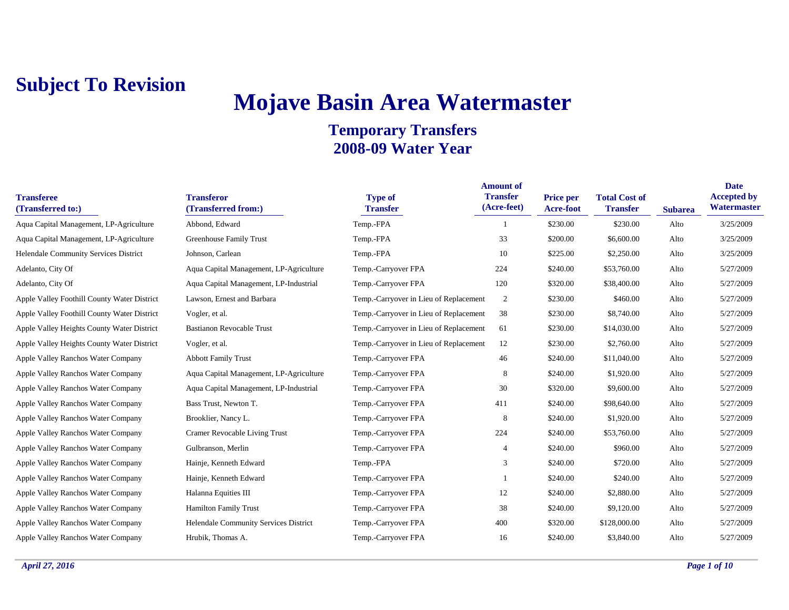# **Mojave Basin Area Watermaster**

| <b>Transferee</b><br>(Transferred to:)      | <b>Transferor</b><br>(Transferred from:) | <b>Type of</b><br><b>Transfer</b>      | <b>Amount of</b><br><b>Transfer</b><br>(Acre-feet) | Price per<br>Acre-foot | <b>Total Cost of</b><br><b>Transfer</b> | <b>Subarea</b> | <b>Date</b><br><b>Accepted by</b><br>Watermaster |
|---------------------------------------------|------------------------------------------|----------------------------------------|----------------------------------------------------|------------------------|-----------------------------------------|----------------|--------------------------------------------------|
| Aqua Capital Management, LP-Agriculture     | Abbond, Edward                           | Temp.-FPA                              |                                                    | \$230.00               | \$230.00                                | Alto           | 3/25/2009                                        |
| Aqua Capital Management, LP-Agriculture     | <b>Greenhouse Family Trust</b>           | Temp.-FPA                              | 33                                                 | \$200.00               | \$6,600.00                              | Alto           | 3/25/2009                                        |
| Helendale Community Services District       | Johnson, Carlean                         | Temp.-FPA                              | 10                                                 | \$225.00               | \$2,250.00                              | Alto           | 3/25/2009                                        |
| Adelanto, City Of                           | Aqua Capital Management, LP-Agriculture  | Temp.-Carryover FPA                    | 224                                                | \$240.00               | \$53,760.00                             | Alto           | 5/27/2009                                        |
| Adelanto, City Of                           | Aqua Capital Management, LP-Industrial   | Temp.-Carryover FPA                    | 120                                                | \$320.00               | \$38,400.00                             | Alto           | 5/27/2009                                        |
| Apple Valley Foothill County Water District | Lawson, Ernest and Barbara               | Temp.-Carryover in Lieu of Replacement | $\overline{c}$                                     | \$230.00               | \$460.00                                | Alto           | 5/27/2009                                        |
| Apple Valley Foothill County Water District | Vogler, et al.                           | Temp.-Carryover in Lieu of Replacement | 38                                                 | \$230.00               | \$8,740.00                              | Alto           | 5/27/2009                                        |
| Apple Valley Heights County Water District  | <b>Bastianon Revocable Trust</b>         | Temp.-Carryover in Lieu of Replacement | 61                                                 | \$230.00               | \$14,030.00                             | Alto           | 5/27/2009                                        |
| Apple Valley Heights County Water District  | Vogler, et al.                           | Temp.-Carryover in Lieu of Replacement | 12                                                 | \$230.00               | \$2,760.00                              | Alto           | 5/27/2009                                        |
| Apple Valley Ranchos Water Company          | <b>Abbott Family Trust</b>               | Temp.-Carryover FPA                    | 46                                                 | \$240.00               | \$11,040.00                             | Alto           | 5/27/2009                                        |
| Apple Valley Ranchos Water Company          | Aqua Capital Management, LP-Agriculture  | Temp.-Carryover FPA                    | 8                                                  | \$240.00               | \$1,920.00                              | Alto           | 5/27/2009                                        |
| Apple Valley Ranchos Water Company          | Aqua Capital Management, LP-Industrial   | Temp.-Carryover FPA                    | 30                                                 | \$320.00               | \$9,600.00                              | Alto           | 5/27/2009                                        |
| Apple Valley Ranchos Water Company          | Bass Trust, Newton T.                    | Temp.-Carryover FPA                    | 411                                                | \$240.00               | \$98,640.00                             | Alto           | 5/27/2009                                        |
| Apple Valley Ranchos Water Company          | Brooklier, Nancy L.                      | Temp.-Carryover FPA                    | 8                                                  | \$240.00               | \$1,920.00                              | Alto           | 5/27/2009                                        |
| Apple Valley Ranchos Water Company          | Cramer Revocable Living Trust            | Temp.-Carryover FPA                    | 224                                                | \$240.00               | \$53,760.00                             | Alto           | 5/27/2009                                        |
| Apple Valley Ranchos Water Company          | Gulbranson, Merlin                       | Temp.-Carryover FPA                    | 4                                                  | \$240.00               | \$960.00                                | Alto           | 5/27/2009                                        |
| Apple Valley Ranchos Water Company          | Hainje, Kenneth Edward                   | Temp.-FPA                              | 3                                                  | \$240.00               | \$720.00                                | Alto           | 5/27/2009                                        |
| Apple Valley Ranchos Water Company          | Hainje, Kenneth Edward                   | Temp.-Carryover FPA                    |                                                    | \$240.00               | \$240.00                                | Alto           | 5/27/2009                                        |
| Apple Valley Ranchos Water Company          | Halanna Equities III                     | Temp.-Carryover FPA                    | 12                                                 | \$240.00               | \$2,880.00                              | Alto           | 5/27/2009                                        |
| Apple Valley Ranchos Water Company          | <b>Hamilton Family Trust</b>             | Temp.-Carryover FPA                    | 38                                                 | \$240.00               | \$9,120.00                              | Alto           | 5/27/2009                                        |
| Apple Valley Ranchos Water Company          | Helendale Community Services District    | Temp.-Carryover FPA                    | 400                                                | \$320.00               | \$128,000.00                            | Alto           | 5/27/2009                                        |
| Apple Valley Ranchos Water Company          | Hrubik, Thomas A.                        | Temp.-Carryover FPA                    | 16                                                 | \$240.00               | \$3,840.00                              | Alto           | 5/27/2009                                        |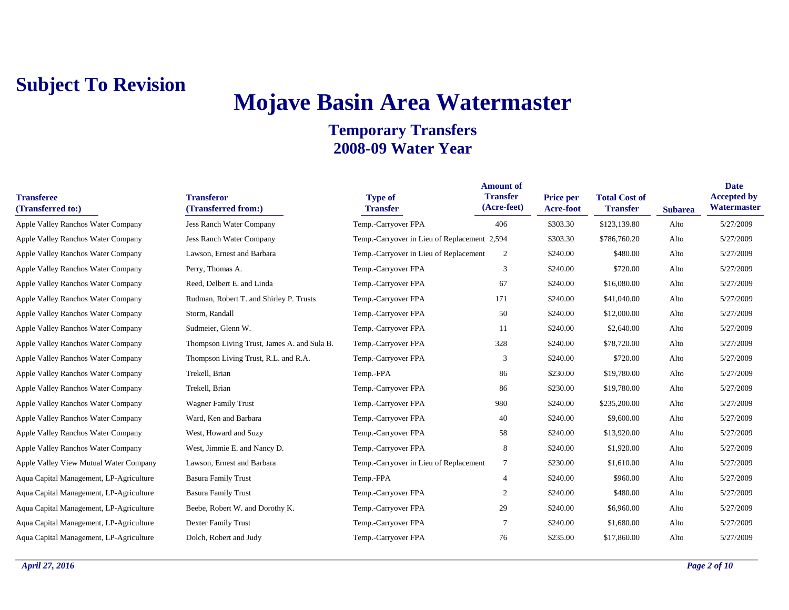## **Mojave Basin Area Watermaster**

| <b>Transferee</b><br>(Transferred to:)  | <b>Transferor</b><br>(Transferred from:)    | <b>Type of</b><br><b>Transfer</b>            | <b>Amount of</b><br><b>Transfer</b><br>(Acre-feet) | <b>Price per</b><br>Acre-foot | <b>Total Cost of</b><br><b>Transfer</b> | <b>Subarea</b> | <b>Date</b><br><b>Accepted by</b><br>Watermaster |
|-----------------------------------------|---------------------------------------------|----------------------------------------------|----------------------------------------------------|-------------------------------|-----------------------------------------|----------------|--------------------------------------------------|
| Apple Valley Ranchos Water Company      | Jess Ranch Water Company                    | Temp.-Carryover FPA                          | 406                                                | \$303.30                      | \$123,139.80                            | Alto           | 5/27/2009                                        |
| Apple Valley Ranchos Water Company      | <b>Jess Ranch Water Company</b>             | Temp.-Carryover in Lieu of Replacement 2,594 |                                                    | \$303.30                      | \$786,760.20                            | Alto           | 5/27/2009                                        |
| Apple Valley Ranchos Water Company      | Lawson, Ernest and Barbara                  | Temp.-Carryover in Lieu of Replacement       | 2                                                  | \$240.00                      | \$480.00                                | Alto           | 5/27/2009                                        |
| Apple Valley Ranchos Water Company      | Perry, Thomas A.                            | Temp.-Carryover FPA                          | 3                                                  | \$240.00                      | \$720.00                                | Alto           | 5/27/2009                                        |
| Apple Valley Ranchos Water Company      | Reed, Delbert E. and Linda                  | Temp.-Carryover FPA                          | 67                                                 | \$240.00                      | \$16,080.00                             | Alto           | 5/27/2009                                        |
| Apple Valley Ranchos Water Company      | Rudman, Robert T. and Shirley P. Trusts     | Temp.-Carryover FPA                          | 171                                                | \$240.00                      | \$41,040.00                             | Alto           | 5/27/2009                                        |
| Apple Valley Ranchos Water Company      | Storm, Randall                              | Temp.-Carryover FPA                          | 50                                                 | \$240.00                      | \$12,000.00                             | Alto           | 5/27/2009                                        |
| Apple Valley Ranchos Water Company      | Sudmeier, Glenn W.                          | Temp.-Carryover FPA                          | 11                                                 | \$240.00                      | \$2,640.00                              | Alto           | 5/27/2009                                        |
| Apple Valley Ranchos Water Company      | Thompson Living Trust, James A. and Sula B. | Temp.-Carryover FPA                          | 328                                                | \$240.00                      | \$78,720.00                             | Alto           | 5/27/2009                                        |
| Apple Valley Ranchos Water Company      | Thompson Living Trust, R.L. and R.A.        | Temp.-Carryover FPA                          | 3                                                  | \$240.00                      | \$720.00                                | Alto           | 5/27/2009                                        |
| Apple Valley Ranchos Water Company      | Trekell, Brian                              | Temp.-FPA                                    | 86                                                 | \$230.00                      | \$19,780.00                             | Alto           | 5/27/2009                                        |
| Apple Valley Ranchos Water Company      | Trekell, Brian                              | Temp.-Carryover FPA                          | 86                                                 | \$230.00                      | \$19,780.00                             | Alto           | 5/27/2009                                        |
| Apple Valley Ranchos Water Company      | <b>Wagner Family Trust</b>                  | Temp.-Carryover FPA                          | 980                                                | \$240.00                      | \$235,200.00                            | Alto           | 5/27/2009                                        |
| Apple Valley Ranchos Water Company      | Ward, Ken and Barbara                       | Temp.-Carryover FPA                          | 40                                                 | \$240.00                      | \$9,600.00                              | Alto           | 5/27/2009                                        |
| Apple Valley Ranchos Water Company      | West, Howard and Suzy                       | Temp.-Carryover FPA                          | 58                                                 | \$240.00                      | \$13,920.00                             | Alto           | 5/27/2009                                        |
| Apple Valley Ranchos Water Company      | West, Jimmie E. and Nancy D.                | Temp.-Carryover FPA                          | 8                                                  | \$240.00                      | \$1,920.00                              | Alto           | 5/27/2009                                        |
| Apple Valley View Mutual Water Company  | Lawson, Ernest and Barbara                  | Temp.-Carryover in Lieu of Replacement       | $7\phantom{.0}$                                    | \$230.00                      | \$1,610.00                              | Alto           | 5/27/2009                                        |
| Aqua Capital Management, LP-Agriculture | <b>Basura Family Trust</b>                  | Temp.-FPA                                    | $\overline{4}$                                     | \$240.00                      | \$960.00                                | Alto           | 5/27/2009                                        |
| Aqua Capital Management, LP-Agriculture | <b>Basura Family Trust</b>                  | Temp.-Carryover FPA                          | 2                                                  | \$240.00                      | \$480.00                                | Alto           | 5/27/2009                                        |
| Aqua Capital Management, LP-Agriculture | Beebe, Robert W. and Dorothy K.             | Temp.-Carryover FPA                          | 29                                                 | \$240.00                      | \$6,960.00                              | Alto           | 5/27/2009                                        |
| Aqua Capital Management, LP-Agriculture | Dexter Family Trust                         | Temp.-Carryover FPA                          | $7\phantom{.0}$                                    | \$240.00                      | \$1,680.00                              | Alto           | 5/27/2009                                        |
| Aqua Capital Management, LP-Agriculture | Dolch, Robert and Judy                      | Temp.-Carryover FPA                          | 76                                                 | \$235.00                      | \$17,860.00                             | Alto           | 5/27/2009                                        |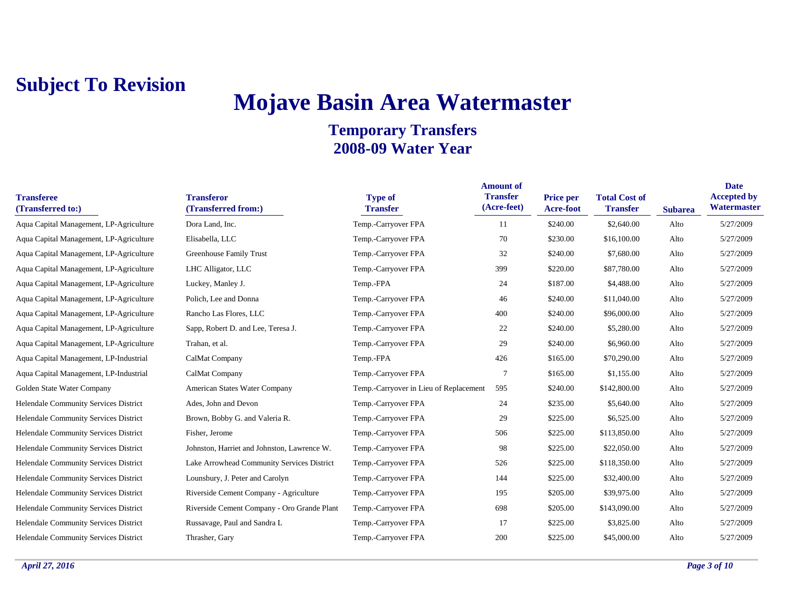## **Mojave Basin Area Watermaster**

| <b>Transferee</b><br>(Transferred to:)  | <b>Transferor</b><br>(Transferred from:)    | <b>Type of</b><br><b>Transfer</b>      | <b>Amount of</b><br><b>Transfer</b><br>(Acre-feet) | <b>Price per</b><br>Acre-foot | <b>Total Cost of</b><br><b>Transfer</b> | <b>Subarea</b> | <b>Date</b><br><b>Accepted by</b><br>Watermaster |
|-----------------------------------------|---------------------------------------------|----------------------------------------|----------------------------------------------------|-------------------------------|-----------------------------------------|----------------|--------------------------------------------------|
| Aqua Capital Management, LP-Agriculture | Dora Land, Inc.                             | Temp.-Carryover FPA                    | 11                                                 | \$240.00                      | \$2,640.00                              | Alto           | 5/27/2009                                        |
| Aqua Capital Management, LP-Agriculture | Elisabella, LLC                             | Temp.-Carryover FPA                    | 70                                                 | \$230.00                      | \$16,100.00                             | Alto           | 5/27/2009                                        |
| Aqua Capital Management, LP-Agriculture | Greenhouse Family Trust                     | Temp.-Carryover FPA                    | 32                                                 | \$240.00                      | \$7,680.00                              | Alto           | 5/27/2009                                        |
| Aqua Capital Management, LP-Agriculture | LHC Alligator, LLC                          | Temp.-Carryover FPA                    | 399                                                | \$220.00                      | \$87,780.00                             | Alto           | 5/27/2009                                        |
| Aqua Capital Management, LP-Agriculture | Luckey, Manley J.                           | Temp.-FPA                              | 24                                                 | \$187.00                      | \$4,488.00                              | Alto           | 5/27/2009                                        |
| Aqua Capital Management, LP-Agriculture | Polich, Lee and Donna                       | Temp.-Carryover FPA                    | 46                                                 | \$240.00                      | \$11,040.00                             | Alto           | 5/27/2009                                        |
| Aqua Capital Management, LP-Agriculture | Rancho Las Flores, LLC                      | Temp.-Carryover FPA                    | 400                                                | \$240.00                      | \$96,000.00                             | Alto           | 5/27/2009                                        |
| Aqua Capital Management, LP-Agriculture | Sapp, Robert D. and Lee, Teresa J.          | Temp.-Carryover FPA                    | 22                                                 | \$240.00                      | \$5,280.00                              | Alto           | 5/27/2009                                        |
| Aqua Capital Management, LP-Agriculture | Trahan, et al.                              | Temp.-Carryover FPA                    | 29                                                 | \$240.00                      | \$6,960.00                              | Alto           | 5/27/2009                                        |
| Aqua Capital Management, LP-Industrial  | CalMat Company                              | Temp.-FPA                              | 426                                                | \$165.00                      | \$70,290.00                             | Alto           | 5/27/2009                                        |
| Aqua Capital Management, LP-Industrial  | CalMat Company                              | Temp.-Carryover FPA                    | 7                                                  | \$165.00                      | \$1,155.00                              | Alto           | 5/27/2009                                        |
| Golden State Water Company              | American States Water Company               | Temp.-Carryover in Lieu of Replacement | 595                                                | \$240.00                      | \$142,800.00                            | Alto           | 5/27/2009                                        |
| Helendale Community Services District   | Ades, John and Devon                        | Temp.-Carryover FPA                    | 24                                                 | \$235.00                      | \$5,640.00                              | Alto           | 5/27/2009                                        |
| Helendale Community Services District   | Brown, Bobby G. and Valeria R.              | Temp.-Carryover FPA                    | 29                                                 | \$225.00                      | \$6,525.00                              | Alto           | 5/27/2009                                        |
| Helendale Community Services District   | Fisher, Jerome                              | Temp.-Carryover FPA                    | 506                                                | \$225.00                      | \$113,850.00                            | Alto           | 5/27/2009                                        |
| Helendale Community Services District   | Johnston, Harriet and Johnston, Lawrence W. | Temp.-Carryover FPA                    | 98                                                 | \$225.00                      | \$22,050.00                             | Alto           | 5/27/2009                                        |
| Helendale Community Services District   | Lake Arrowhead Community Services District  | Temp.-Carryover FPA                    | 526                                                | \$225.00                      | \$118,350.00                            | Alto           | 5/27/2009                                        |
| Helendale Community Services District   | Lounsbury, J. Peter and Carolyn             | Temp.-Carryover FPA                    | 144                                                | \$225.00                      | \$32,400.00                             | Alto           | 5/27/2009                                        |
| Helendale Community Services District   | Riverside Cement Company - Agriculture      | Temp.-Carryover FPA                    | 195                                                | \$205.00                      | \$39,975.00                             | Alto           | 5/27/2009                                        |
| Helendale Community Services District   | Riverside Cement Company - Oro Grande Plant | Temp.-Carryover FPA                    | 698                                                | \$205.00                      | \$143,090.00                            | Alto           | 5/27/2009                                        |
| Helendale Community Services District   | Russavage, Paul and Sandra L                | Temp.-Carryover FPA                    | 17                                                 | \$225.00                      | \$3,825.00                              | Alto           | 5/27/2009                                        |
| Helendale Community Services District   | Thrasher, Gary                              | Temp.-Carryover FPA                    | 200                                                | \$225.00                      | \$45,000.00                             | Alto           | 5/27/2009                                        |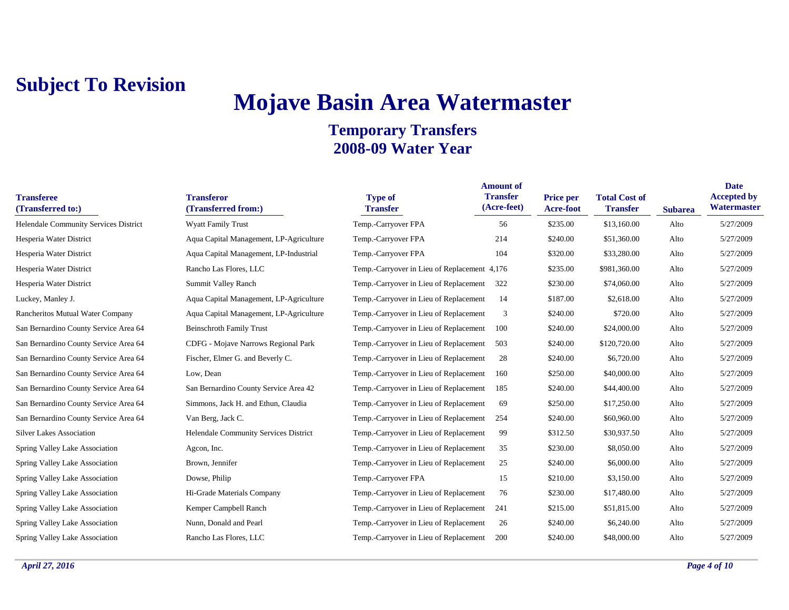# **Mojave Basin Area Watermaster**

| <b>Transferee</b><br>(Transferred to:) | <b>Transferor</b><br>(Transferred from:) | <b>Type of</b><br><b>Transfer</b>            | <b>Amount of</b><br><b>Transfer</b><br>(Acre-feet) | Price per<br><b>Acre-foot</b> | <b>Total Cost of</b><br><b>Transfer</b> | <b>Subarea</b> | <b>Date</b><br><b>Accepted by</b><br>Watermaster |
|----------------------------------------|------------------------------------------|----------------------------------------------|----------------------------------------------------|-------------------------------|-----------------------------------------|----------------|--------------------------------------------------|
| Helendale Community Services District  | <b>Wyatt Family Trust</b>                | Temp.-Carryover FPA                          | 56                                                 | \$235.00                      | \$13,160.00                             | Alto           | 5/27/2009                                        |
| Hesperia Water District                | Aqua Capital Management, LP-Agriculture  | Temp.-Carryover FPA                          | 214                                                | \$240.00                      | \$51,360.00                             | Alto           | 5/27/2009                                        |
| Hesperia Water District                | Aqua Capital Management, LP-Industrial   | Temp.-Carryover FPA                          | 104                                                | \$320.00                      | \$33,280.00                             | Alto           | 5/27/2009                                        |
| Hesperia Water District                | Rancho Las Flores, LLC                   | Temp.-Carryover in Lieu of Replacement 4,176 |                                                    | \$235.00                      | \$981,360.00                            | Alto           | 5/27/2009                                        |
| Hesperia Water District                | Summit Valley Ranch                      | Temp.-Carryover in Lieu of Replacement       | 322                                                | \$230.00                      | \$74,060.00                             | Alto           | 5/27/2009                                        |
| Luckey, Manley J.                      | Aqua Capital Management, LP-Agriculture  | Temp.-Carryover in Lieu of Replacement       | 14                                                 | \$187.00                      | \$2,618.00                              | Alto           | 5/27/2009                                        |
| Rancheritos Mutual Water Company       | Aqua Capital Management, LP-Agriculture  | Temp.-Carryover in Lieu of Replacement       | 3                                                  | \$240.00                      | \$720.00                                | Alto           | 5/27/2009                                        |
| San Bernardino County Service Area 64  | <b>Beinschroth Family Trust</b>          | Temp.-Carryover in Lieu of Replacement       | 100                                                | \$240.00                      | \$24,000.00                             | Alto           | 5/27/2009                                        |
| San Bernardino County Service Area 64  | CDFG - Mojave Narrows Regional Park      | Temp.-Carryover in Lieu of Replacement       | 503                                                | \$240.00                      | \$120,720.00                            | Alto           | 5/27/2009                                        |
| San Bernardino County Service Area 64  | Fischer, Elmer G. and Beverly C.         | Temp.-Carryover in Lieu of Replacement       | 28                                                 | \$240.00                      | \$6,720.00                              | Alto           | 5/27/2009                                        |
| San Bernardino County Service Area 64  | Low, Dean                                | Temp.-Carryover in Lieu of Replacement       | 160                                                | \$250.00                      | \$40,000.00                             | Alto           | 5/27/2009                                        |
| San Bernardino County Service Area 64  | San Bernardino County Service Area 42    | Temp.-Carryover in Lieu of Replacement       | 185                                                | \$240.00                      | \$44,400.00                             | Alto           | 5/27/2009                                        |
| San Bernardino County Service Area 64  | Simmons, Jack H. and Ethun, Claudia      | Temp.-Carryover in Lieu of Replacement       | 69                                                 | \$250.00                      | \$17,250.00                             | Alto           | 5/27/2009                                        |
| San Bernardino County Service Area 64  | Van Berg, Jack C.                        | Temp.-Carryover in Lieu of Replacement       | 254                                                | \$240.00                      | \$60,960.00                             | Alto           | 5/27/2009                                        |
| <b>Silver Lakes Association</b>        | Helendale Community Services District    | Temp.-Carryover in Lieu of Replacement       | 99                                                 | \$312.50                      | \$30,937.50                             | Alto           | 5/27/2009                                        |
| Spring Valley Lake Association         | Agcon, Inc.                              | Temp.-Carryover in Lieu of Replacement       | 35                                                 | \$230.00                      | \$8,050.00                              | Alto           | 5/27/2009                                        |
| Spring Valley Lake Association         | Brown, Jennifer                          | Temp.-Carryover in Lieu of Replacement       | 25                                                 | \$240.00                      | \$6,000.00                              | Alto           | 5/27/2009                                        |
| Spring Valley Lake Association         | Dowse, Philip                            | Temp.-Carryover FPA                          | 15                                                 | \$210.00                      | \$3,150.00                              | Alto           | 5/27/2009                                        |
| Spring Valley Lake Association         | Hi-Grade Materials Company               | Temp.-Carryover in Lieu of Replacement       | 76                                                 | \$230.00                      | \$17,480.00                             | Alto           | 5/27/2009                                        |
| Spring Valley Lake Association         | Kemper Campbell Ranch                    | Temp.-Carryover in Lieu of Replacement       | 241                                                | \$215.00                      | \$51,815.00                             | Alto           | 5/27/2009                                        |
| Spring Valley Lake Association         | Nunn, Donald and Pearl                   | Temp.-Carryover in Lieu of Replacement       | 26                                                 | \$240.00                      | \$6,240.00                              | Alto           | 5/27/2009                                        |
| Spring Valley Lake Association         | Rancho Las Flores, LLC                   | Temp.-Carryover in Lieu of Replacement       | 200                                                | \$240.00                      | \$48,000.00                             | Alto           | 5/27/2009                                        |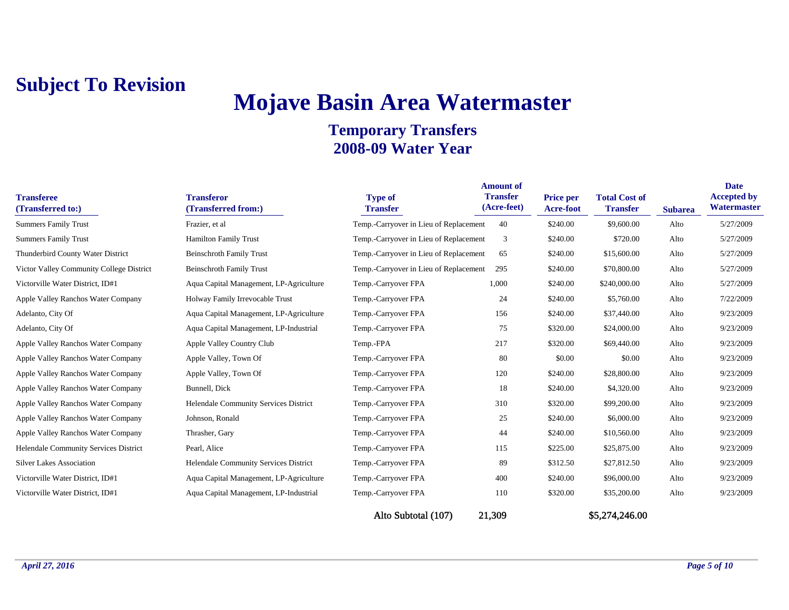# **Mojave Basin Area Watermaster**

| <b>Transferee</b><br>(Transferred to:)   | <b>Transferor</b><br>(Transferred from:) | <b>Type of</b><br><b>Transfer</b>      | <b>Amount of</b><br><b>Transfer</b><br>(Acre-feet) | Price per<br><b>Acre-foot</b> | <b>Total Cost of</b><br><b>Transfer</b> | <b>Subarea</b> | <b>Date</b><br><b>Accepted by</b><br>Watermaster |
|------------------------------------------|------------------------------------------|----------------------------------------|----------------------------------------------------|-------------------------------|-----------------------------------------|----------------|--------------------------------------------------|
| Summers Family Trust                     | Frazier, et al                           | Temp.-Carryover in Lieu of Replacement | 40                                                 | \$240.00                      | \$9,600.00                              | Alto           | 5/27/2009                                        |
| <b>Summers Family Trust</b>              | <b>Hamilton Family Trust</b>             | Temp.-Carryover in Lieu of Replacement | 3                                                  | \$240.00                      | \$720.00                                | Alto           | 5/27/2009                                        |
| Thunderbird County Water District        | <b>Beinschroth Family Trust</b>          | Temp.-Carryover in Lieu of Replacement | 65                                                 | \$240.00                      | \$15,600.00                             | Alto           | 5/27/2009                                        |
| Victor Valley Community College District | <b>Beinschroth Family Trust</b>          | Temp.-Carryover in Lieu of Replacement | 295                                                | \$240.00                      | \$70,800.00                             | Alto           | 5/27/2009                                        |
| Victorville Water District, ID#1         | Aqua Capital Management, LP-Agriculture  | Temp.-Carryover FPA                    | 1,000                                              | \$240.00                      | \$240,000.00                            | Alto           | 5/27/2009                                        |
| Apple Valley Ranchos Water Company       | Holway Family Irrevocable Trust          | Temp.-Carryover FPA                    | 24                                                 | \$240.00                      | \$5,760.00                              | Alto           | 7/22/2009                                        |
| Adelanto, City Of                        | Aqua Capital Management, LP-Agriculture  | Temp.-Carryover FPA                    | 156                                                | \$240.00                      | \$37,440.00                             | Alto           | 9/23/2009                                        |
| Adelanto, City Of                        | Aqua Capital Management, LP-Industrial   | Temp.-Carryover FPA                    | 75                                                 | \$320.00                      | \$24,000.00                             | Alto           | 9/23/2009                                        |
| Apple Valley Ranchos Water Company       | Apple Valley Country Club                | Temp.-FPA                              | 217                                                | \$320.00                      | \$69,440.00                             | Alto           | 9/23/2009                                        |
| Apple Valley Ranchos Water Company       | Apple Valley, Town Of                    | Temp.-Carryover FPA                    | 80                                                 | \$0.00                        | \$0.00                                  | Alto           | 9/23/2009                                        |
| Apple Valley Ranchos Water Company       | Apple Valley, Town Of                    | Temp.-Carryover FPA                    | 120                                                | \$240.00                      | \$28,800.00                             | Alto           | 9/23/2009                                        |
| Apple Valley Ranchos Water Company       | Bunnell, Dick                            | Temp.-Carryover FPA                    | 18                                                 | \$240.00                      | \$4,320.00                              | Alto           | 9/23/2009                                        |
| Apple Valley Ranchos Water Company       | Helendale Community Services District    | Temp.-Carryover FPA                    | 310                                                | \$320.00                      | \$99,200.00                             | Alto           | 9/23/2009                                        |
| Apple Valley Ranchos Water Company       | Johnson, Ronald                          | Temp.-Carryover FPA                    | 25                                                 | \$240.00                      | \$6,000.00                              | Alto           | 9/23/2009                                        |
| Apple Valley Ranchos Water Company       | Thrasher, Gary                           | Temp.-Carryover FPA                    | 44                                                 | \$240.00                      | \$10,560.00                             | Alto           | 9/23/2009                                        |
| Helendale Community Services District    | Pearl, Alice                             | Temp.-Carryover FPA                    | 115                                                | \$225.00                      | \$25,875.00                             | Alto           | 9/23/2009                                        |
| <b>Silver Lakes Association</b>          | Helendale Community Services District    | Temp.-Carryover FPA                    | 89                                                 | \$312.50                      | \$27,812.50                             | Alto           | 9/23/2009                                        |
| Victorville Water District, ID#1         | Aqua Capital Management, LP-Agriculture  | Temp.-Carryover FPA                    | 400                                                | \$240.00                      | \$96,000.00                             | Alto           | 9/23/2009                                        |
| Victorville Water District, ID#1         | Aqua Capital Management, LP-Industrial   | Temp.-Carryover FPA                    | 110                                                | \$320.00                      | \$35,200.00                             | Alto           | 9/23/2009                                        |
|                                          |                                          | Alto Subtotal (107)                    | 21,309                                             |                               | \$5,274,246.00                          |                |                                                  |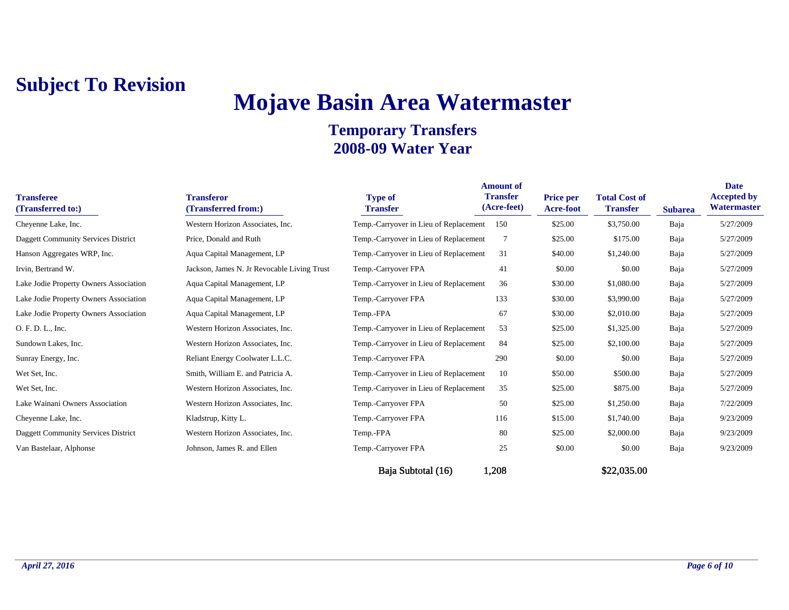# **Mojave Basin Area Watermaster**

#### **Temporary Transfers 2008-09 Water Year**

| <b>Transferee</b><br>(Transferred to:) | <b>Transferor</b><br>(Transferred from:)    | <b>Type of</b><br><b>Transfer</b>      | <b>Amount of</b><br><b>Transfer</b><br>(Acre-feet) | <b>Price per</b><br>Acre-foot | <b>Total Cost of</b><br><b>Transfer</b> | <b>Subarea</b> | <b>Date</b><br><b>Accepted by</b><br>Watermaster |
|----------------------------------------|---------------------------------------------|----------------------------------------|----------------------------------------------------|-------------------------------|-----------------------------------------|----------------|--------------------------------------------------|
| Cheyenne Lake, Inc.                    | Western Horizon Associates, Inc.            | Temp.-Carryover in Lieu of Replacement | 150                                                | \$25.00                       | \$3,750.00                              | Baja           | 5/27/2009                                        |
| Daggett Community Services District    | Price, Donald and Ruth                      | Temp.-Carryover in Lieu of Replacement |                                                    | \$25.00                       | \$175.00                                | Baja           | 5/27/2009                                        |
| Hanson Aggregates WRP, Inc.            | Aqua Capital Management, LP                 | Temp.-Carryover in Lieu of Replacement | 31                                                 | \$40.00                       | \$1,240.00                              | Baja           | 5/27/2009                                        |
| Irvin, Bertrand W.                     | Jackson, James N. Jr Revocable Living Trust | Temp.-Carryover FPA                    | 41                                                 | \$0.00                        | \$0.00                                  | Baja           | 5/27/2009                                        |
| Lake Jodie Property Owners Association | Aqua Capital Management, LP                 | Temp.-Carryover in Lieu of Replacement | 36                                                 | \$30.00                       | \$1,080.00                              | Baja           | 5/27/2009                                        |
| Lake Jodie Property Owners Association | Aqua Capital Management, LP                 | Temp.-Carryover FPA                    | 133                                                | \$30.00                       | \$3,990.00                              | Baja           | 5/27/2009                                        |
| Lake Jodie Property Owners Association | Aqua Capital Management, LP                 | Temp.-FPA                              | 67                                                 | \$30.00                       | \$2,010.00                              | Baja           | 5/27/2009                                        |
| O. F. D. L., Inc.                      | Western Horizon Associates, Inc.            | Temp.-Carryover in Lieu of Replacement | 53                                                 | \$25.00                       | \$1,325.00                              | Baja           | 5/27/2009                                        |
| Sundown Lakes, Inc.                    | Western Horizon Associates, Inc.            | Temp.-Carryover in Lieu of Replacement | 84                                                 | \$25.00                       | \$2,100.00                              | Baja           | 5/27/2009                                        |
| Sunray Energy, Inc.                    | Reliant Energy Coolwater L.L.C.             | Temp.-Carryover FPA                    | 290                                                | \$0.00                        | \$0.00                                  | Baja           | 5/27/2009                                        |
| Wet Set, Inc.                          | Smith, William E. and Patricia A.           | Temp.-Carryover in Lieu of Replacement | 10                                                 | \$50.00                       | \$500.00                                | Baja           | 5/27/2009                                        |
| Wet Set, Inc.                          | Western Horizon Associates, Inc.            | Temp.-Carryover in Lieu of Replacement | 35                                                 | \$25.00                       | \$875.00                                | Baja           | 5/27/2009                                        |
| Lake Wainani Owners Association        | Western Horizon Associates, Inc.            | Temp.-Carryover FPA                    | 50                                                 | \$25.00                       | \$1,250.00                              | Baja           | 7/22/2009                                        |
| Cheyenne Lake, Inc.                    | Kladstrup, Kitty L.                         | Temp.-Carryover FPA                    | 116                                                | \$15.00                       | \$1,740.00                              | Baja           | 9/23/2009                                        |
| Daggett Community Services District    | Western Horizon Associates, Inc.            | Temp.-FPA                              | 80                                                 | \$25.00                       | \$2,000.00                              | Baja           | 9/23/2009                                        |
| Van Bastelaar, Alphonse                | Johnson, James R. and Ellen                 | Temp.-Carryover FPA                    | 25                                                 | \$0.00                        | \$0.00                                  | Baja           | 9/23/2009                                        |

Baja Subtotal (16) 1,208 \$22,035.00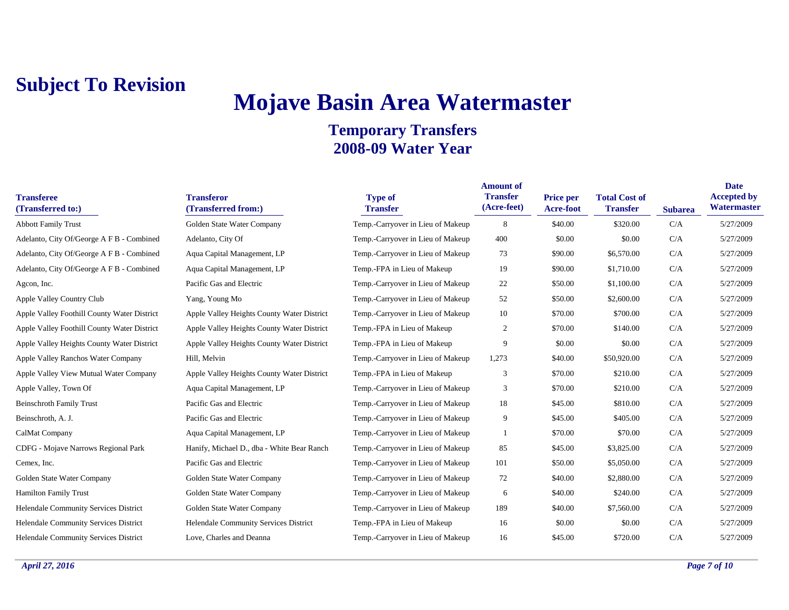## **Mojave Basin Area Watermaster**

| <b>Transferee</b><br>(Transferred to:)       | <b>Transferor</b><br>(Transferred from:)   | <b>Type of</b><br><b>Transfer</b> | <b>Amount of</b><br><b>Transfer</b><br>(Acre-feet) | <b>Price per</b><br>Acre-foot | <b>Total Cost of</b><br><b>Transfer</b> | <b>Subarea</b> | <b>Date</b><br><b>Accepted by</b><br>Watermaster |
|----------------------------------------------|--------------------------------------------|-----------------------------------|----------------------------------------------------|-------------------------------|-----------------------------------------|----------------|--------------------------------------------------|
| <b>Abbott Family Trust</b>                   | Golden State Water Company                 | Temp.-Carryover in Lieu of Makeup | 8                                                  | \$40.00                       | \$320.00                                | C/A            | 5/27/2009                                        |
| Adelanto, City Of/George A F B - Combined    | Adelanto, City Of                          | Temp.-Carryover in Lieu of Makeup | 400                                                | \$0.00                        | \$0.00                                  | C/A            | 5/27/2009                                        |
| Adelanto, City Of/George A F B - Combined    | Aqua Capital Management, LP                | Temp.-Carryover in Lieu of Makeup | 73                                                 | \$90.00                       | \$6,570.00                              | C/A            | 5/27/2009                                        |
| Adelanto, City Of/George A F B - Combined    | Aqua Capital Management, LP                | Temp.-FPA in Lieu of Makeup       | 19                                                 | \$90.00                       | \$1,710.00                              | C/A            | 5/27/2009                                        |
| Agcon, Inc.                                  | Pacific Gas and Electric                   | Temp.-Carryover in Lieu of Makeup | 22                                                 | \$50.00                       | \$1,100.00                              | C/A            | 5/27/2009                                        |
| Apple Valley Country Club                    | Yang, Young Mo                             | Temp.-Carryover in Lieu of Makeup | 52                                                 | \$50.00                       | \$2,600.00                              | C/A            | 5/27/2009                                        |
| Apple Valley Foothill County Water District  | Apple Valley Heights County Water District | Temp.-Carryover in Lieu of Makeup | 10                                                 | \$70.00                       | \$700.00                                | C/A            | 5/27/2009                                        |
| Apple Valley Foothill County Water District  | Apple Valley Heights County Water District | Temp.-FPA in Lieu of Makeup       | $\boldsymbol{2}$                                   | \$70.00                       | \$140.00                                | C/A            | 5/27/2009                                        |
| Apple Valley Heights County Water District   | Apple Valley Heights County Water District | Temp.-FPA in Lieu of Makeup       | 9                                                  | \$0.00                        | \$0.00                                  | C/A            | 5/27/2009                                        |
| Apple Valley Ranchos Water Company           | Hill, Melvin                               | Temp.-Carryover in Lieu of Makeup | 1,273                                              | \$40.00                       | \$50,920.00                             | C/A            | 5/27/2009                                        |
| Apple Valley View Mutual Water Company       | Apple Valley Heights County Water District | Temp.-FPA in Lieu of Makeup       | 3                                                  | \$70.00                       | \$210.00                                | C/A            | 5/27/2009                                        |
| Apple Valley, Town Of                        | Aqua Capital Management, LP                | Temp.-Carryover in Lieu of Makeup | 3                                                  | \$70.00                       | \$210.00                                | C/A            | 5/27/2009                                        |
| <b>Beinschroth Family Trust</b>              | Pacific Gas and Electric                   | Temp.-Carryover in Lieu of Makeup | 18                                                 | \$45.00                       | \$810.00                                | C/A            | 5/27/2009                                        |
| Beinschroth, A. J.                           | Pacific Gas and Electric                   | Temp.-Carryover in Lieu of Makeup | 9                                                  | \$45.00                       | \$405.00                                | C/A            | 5/27/2009                                        |
| CalMat Company                               | Aqua Capital Management, LP                | Temp.-Carryover in Lieu of Makeup |                                                    | \$70.00                       | \$70.00                                 | C/A            | 5/27/2009                                        |
| CDFG - Mojave Narrows Regional Park          | Hanify, Michael D., dba - White Bear Ranch | Temp.-Carryover in Lieu of Makeup | 85                                                 | \$45.00                       | \$3,825.00                              | C/A            | 5/27/2009                                        |
| Cemex, Inc.                                  | Pacific Gas and Electric                   | Temp.-Carryover in Lieu of Makeup | 101                                                | \$50.00                       | \$5,050.00                              | C/A            | 5/27/2009                                        |
| Golden State Water Company                   | Golden State Water Company                 | Temp.-Carryover in Lieu of Makeup | 72                                                 | \$40.00                       | \$2,880.00                              | C/A            | 5/27/2009                                        |
| <b>Hamilton Family Trust</b>                 | Golden State Water Company                 | Temp.-Carryover in Lieu of Makeup | 6                                                  | \$40.00                       | \$240.00                                | C/A            | 5/27/2009                                        |
| Helendale Community Services District        | Golden State Water Company                 | Temp.-Carryover in Lieu of Makeup | 189                                                | \$40.00                       | \$7,560.00                              | C/A            | 5/27/2009                                        |
| Helendale Community Services District        | Helendale Community Services District      | Temp.-FPA in Lieu of Makeup       | 16                                                 | \$0.00                        | \$0.00                                  | C/A            | 5/27/2009                                        |
| <b>Helendale Community Services District</b> | Love, Charles and Deanna                   | Temp.-Carryover in Lieu of Makeup | 16                                                 | \$45.00                       | \$720.00                                | C/A            | 5/27/2009                                        |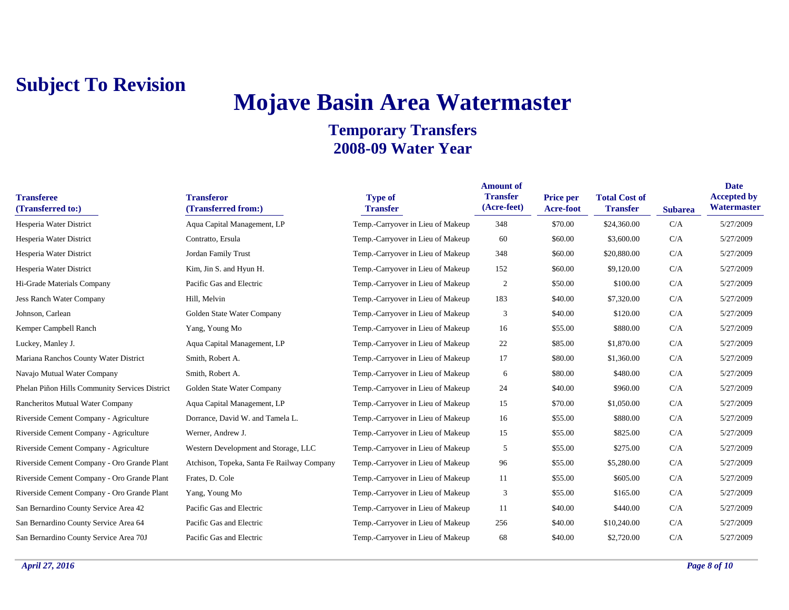# **Mojave Basin Area Watermaster**

| <b>Transferee</b><br>(Transferred to:)         | <b>Transferor</b><br>(Transferred from:)   | <b>Type of</b><br><b>Transfer</b> | <b>Amount of</b><br><b>Transfer</b><br>(Acre-feet) | <b>Price per</b><br><b>Acre-foot</b> | <b>Total Cost of</b><br><b>Transfer</b> | <b>Subarea</b> | <b>Date</b><br><b>Accepted by</b><br>Watermaster |
|------------------------------------------------|--------------------------------------------|-----------------------------------|----------------------------------------------------|--------------------------------------|-----------------------------------------|----------------|--------------------------------------------------|
| Hesperia Water District                        | Aqua Capital Management, LP                | Temp.-Carryover in Lieu of Makeup | 348                                                | \$70.00                              | \$24,360.00                             | C/A            | 5/27/2009                                        |
| Hesperia Water District                        | Contratto, Ersula                          | Temp.-Carryover in Lieu of Makeup | 60                                                 | \$60.00                              | \$3,600.00                              | C/A            | 5/27/2009                                        |
| Hesperia Water District                        | Jordan Family Trust                        | Temp.-Carryover in Lieu of Makeup | 348                                                | \$60.00                              | \$20,880.00                             | C/A            | 5/27/2009                                        |
| Hesperia Water District                        | Kim, Jin S. and Hyun H.                    | Temp.-Carryover in Lieu of Makeup | 152                                                | \$60.00                              | \$9,120.00                              | C/A            | 5/27/2009                                        |
| Hi-Grade Materials Company                     | Pacific Gas and Electric                   | Temp.-Carryover in Lieu of Makeup | $\overline{c}$                                     | \$50.00                              | \$100.00                                | C/A            | 5/27/2009                                        |
| Jess Ranch Water Company                       | Hill, Melvin                               | Temp.-Carryover in Lieu of Makeup | 183                                                | \$40.00                              | \$7,320.00                              | C/A            | 5/27/2009                                        |
| Johnson, Carlean                               | Golden State Water Company                 | Temp.-Carryover in Lieu of Makeup | 3                                                  | \$40.00                              | \$120.00                                | C/A            | 5/27/2009                                        |
| Kemper Campbell Ranch                          | Yang, Young Mo                             | Temp.-Carryover in Lieu of Makeup | 16                                                 | \$55.00                              | \$880.00                                | C/A            | 5/27/2009                                        |
| Luckey, Manley J.                              | Aqua Capital Management, LP                | Temp.-Carryover in Lieu of Makeup | 22                                                 | \$85.00                              | \$1,870.00                              | C/A            | 5/27/2009                                        |
| Mariana Ranchos County Water District          | Smith, Robert A.                           | Temp.-Carryover in Lieu of Makeup | 17                                                 | \$80.00                              | \$1,360.00                              | C/A            | 5/27/2009                                        |
| Navajo Mutual Water Company                    | Smith, Robert A.                           | Temp.-Carryover in Lieu of Makeup | 6                                                  | \$80.00                              | \$480.00                                | C/A            | 5/27/2009                                        |
| Phelan Piñon Hills Community Services District | Golden State Water Company                 | Temp.-Carryover in Lieu of Makeup | 24                                                 | \$40.00                              | \$960.00                                | C/A            | 5/27/2009                                        |
| Rancheritos Mutual Water Company               | Aqua Capital Management, LP                | Temp.-Carryover in Lieu of Makeup | 15                                                 | \$70.00                              | \$1,050.00                              | C/A            | 5/27/2009                                        |
| Riverside Cement Company - Agriculture         | Dorrance, David W. and Tamela L.           | Temp.-Carryover in Lieu of Makeup | 16                                                 | \$55.00                              | \$880.00                                | C/A            | 5/27/2009                                        |
| Riverside Cement Company - Agriculture         | Werner, Andrew J.                          | Temp.-Carryover in Lieu of Makeup | 15                                                 | \$55.00                              | \$825.00                                | C/A            | 5/27/2009                                        |
| Riverside Cement Company - Agriculture         | Western Development and Storage, LLC       | Temp.-Carryover in Lieu of Makeup | 5                                                  | \$55.00                              | \$275.00                                | C/A            | 5/27/2009                                        |
| Riverside Cement Company - Oro Grande Plant    | Atchison, Topeka, Santa Fe Railway Company | Temp.-Carryover in Lieu of Makeup | 96                                                 | \$55.00                              | \$5,280.00                              | C/A            | 5/27/2009                                        |
| Riverside Cement Company - Oro Grande Plant    | Frates, D. Cole                            | Temp.-Carryover in Lieu of Makeup | 11                                                 | \$55.00                              | \$605.00                                | C/A            | 5/27/2009                                        |
| Riverside Cement Company - Oro Grande Plant    | Yang, Young Mo                             | Temp.-Carryover in Lieu of Makeup | 3                                                  | \$55.00                              | \$165.00                                | C/A            | 5/27/2009                                        |
| San Bernardino County Service Area 42          | Pacific Gas and Electric                   | Temp.-Carryover in Lieu of Makeup | -11                                                | \$40.00                              | \$440.00                                | C/A            | 5/27/2009                                        |
| San Bernardino County Service Area 64          | Pacific Gas and Electric                   | Temp.-Carryover in Lieu of Makeup | 256                                                | \$40.00                              | \$10,240.00                             | C/A            | 5/27/2009                                        |
| San Bernardino County Service Area 70J         | Pacific Gas and Electric                   | Temp.-Carryover in Lieu of Makeup | 68                                                 | \$40.00                              | \$2,720.00                              | C/A            | 5/27/2009                                        |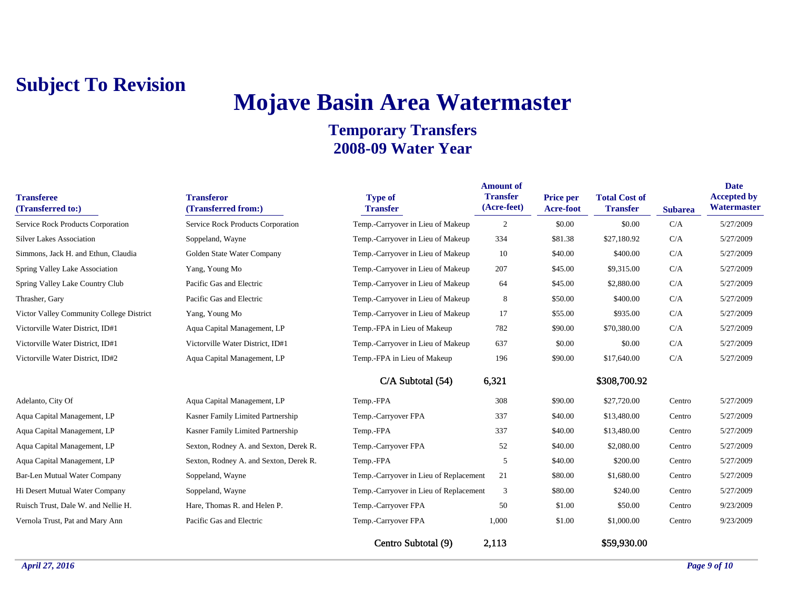# **Mojave Basin Area Watermaster**

| <b>Transferee</b><br>(Transferred to:)   | <b>Transferor</b><br>(Transferred from:) | <b>Type of</b><br><b>Transfer</b>      | <b>Amount of</b><br><b>Transfer</b><br>(Acre-feet) | Price per<br>Acre-foot | <b>Total Cost of</b><br><b>Transfer</b> | <b>Subarea</b> | <b>Date</b><br><b>Accepted by</b><br>Watermaster |
|------------------------------------------|------------------------------------------|----------------------------------------|----------------------------------------------------|------------------------|-----------------------------------------|----------------|--------------------------------------------------|
| Service Rock Products Corporation        | Service Rock Products Corporation        | Temp.-Carryover in Lieu of Makeup      | $\overline{2}$                                     | \$0.00                 | \$0.00                                  | C/A            | 5/27/2009                                        |
| <b>Silver Lakes Association</b>          | Soppeland, Wayne                         | Temp.-Carryover in Lieu of Makeup      | 334                                                | \$81.38                | \$27,180.92                             | C/A            | 5/27/2009                                        |
| Simmons, Jack H. and Ethun, Claudia      | Golden State Water Company               | Temp.-Carryover in Lieu of Makeup      | 10                                                 | \$40.00                | \$400.00                                | C/A            | 5/27/2009                                        |
| Spring Valley Lake Association           | Yang, Young Mo                           | Temp.-Carryover in Lieu of Makeup      | 207                                                | \$45.00                | \$9,315.00                              | C/A            | 5/27/2009                                        |
| Spring Valley Lake Country Club          | Pacific Gas and Electric                 | Temp.-Carryover in Lieu of Makeup      | 64                                                 | \$45.00                | \$2,880.00                              | C/A            | 5/27/2009                                        |
| Thrasher, Gary                           | Pacific Gas and Electric                 | Temp.-Carryover in Lieu of Makeup      | 8                                                  | \$50.00                | \$400.00                                | C/A            | 5/27/2009                                        |
| Victor Valley Community College District | Yang, Young Mo                           | Temp.-Carryover in Lieu of Makeup      | 17                                                 | \$55.00                | \$935.00                                | C/A            | 5/27/2009                                        |
| Victorville Water District, ID#1         | Aqua Capital Management, LP              | Temp.-FPA in Lieu of Makeup            | 782                                                | \$90.00                | \$70,380.00                             | C/A            | 5/27/2009                                        |
| Victorville Water District, ID#1         | Victorville Water District, ID#1         | Temp.-Carryover in Lieu of Makeup      | 637                                                | \$0.00                 | \$0.00                                  | C/A            | 5/27/2009                                        |
| Victorville Water District, ID#2         | Aqua Capital Management, LP              | Temp.-FPA in Lieu of Makeup            | 196                                                | \$90.00                | \$17,640.00                             | C/A            | 5/27/2009                                        |
|                                          |                                          | C/A Subtotal (54)                      | 6,321                                              |                        | \$308,700.92                            |                |                                                  |
| Adelanto, City Of                        | Aqua Capital Management, LP              | Temp.-FPA                              | 308                                                | \$90.00                | \$27,720.00                             | Centro         | 5/27/2009                                        |
| Aqua Capital Management, LP              | Kasner Family Limited Partnership        | Temp.-Carryover FPA                    | 337                                                | \$40.00                | \$13,480.00                             | Centro         | 5/27/2009                                        |
| Aqua Capital Management, LP              | Kasner Family Limited Partnership        | Temp.-FPA                              | 337                                                | \$40.00                | \$13,480.00                             | Centro         | 5/27/2009                                        |
| Aqua Capital Management, LP              | Sexton, Rodney A. and Sexton, Derek R.   | Temp.-Carryover FPA                    | 52                                                 | \$40.00                | \$2,080.00                              | Centro         | 5/27/2009                                        |
| Aqua Capital Management, LP              | Sexton, Rodney A. and Sexton, Derek R.   | Temp.-FPA                              | 5                                                  | \$40.00                | \$200.00                                | Centro         | 5/27/2009                                        |
| <b>Bar-Len Mutual Water Company</b>      | Soppeland, Wayne                         | Temp.-Carryover in Lieu of Replacement | 21                                                 | \$80.00                | \$1,680.00                              | Centro         | 5/27/2009                                        |
| Hi Desert Mutual Water Company           | Soppeland, Wayne                         | Temp.-Carryover in Lieu of Replacement | 3                                                  | \$80.00                | \$240.00                                | Centro         | 5/27/2009                                        |
| Ruisch Trust, Dale W. and Nellie H.      | Hare, Thomas R. and Helen P.             | Temp.-Carryover FPA                    | 50                                                 | \$1.00                 | \$50.00                                 | Centro         | 9/23/2009                                        |
| Vernola Trust, Pat and Mary Ann          | Pacific Gas and Electric                 | Temp.-Carryover FPA                    | 1,000                                              | \$1.00                 | \$1,000.00                              | Centro         | 9/23/2009                                        |
|                                          |                                          | Centro Subtotal (9)                    | 2,113                                              |                        | \$59,930.00                             |                |                                                  |